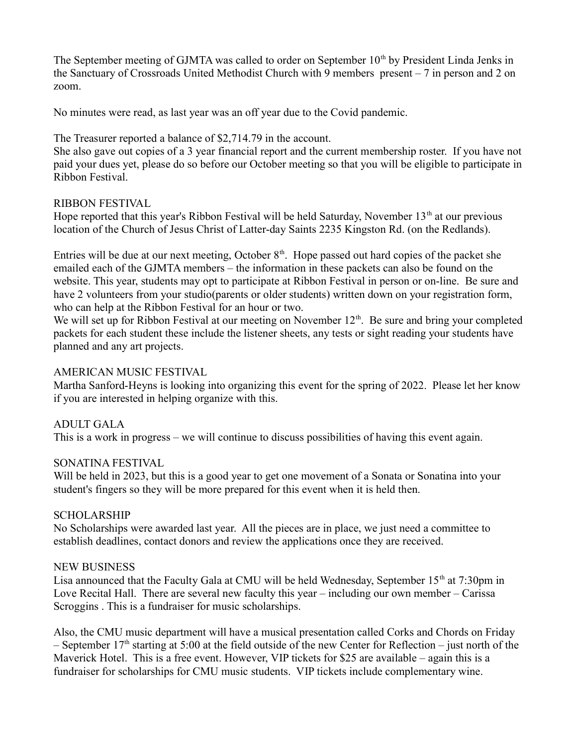The September meeting of GJMTA was called to order on September  $10<sup>th</sup>$  by President Linda Jenks in the Sanctuary of Crossroads United Methodist Church with 9 members present – 7 in person and 2 on zoom.

No minutes were read, as last year was an off year due to the Covid pandemic.

The Treasurer reported a balance of \$2,714.79 in the account.

She also gave out copies of a 3 year financial report and the current membership roster. If you have not paid your dues yet, please do so before our October meeting so that you will be eligible to participate in Ribbon Festival.

## RIBBON FESTIVAL

Hope reported that this year's Ribbon Festival will be held Saturday, November  $13<sup>th</sup>$  at our previous location of the Church of Jesus Christ of Latter-day Saints 2235 Kingston Rd. (on the Redlands).

Entries will be due at our next meeting, October  $8<sup>th</sup>$ . Hope passed out hard copies of the packet she emailed each of the GJMTA members – the information in these packets can also be found on the website. This year, students may opt to participate at Ribbon Festival in person or on-line. Be sure and have 2 volunteers from your studio(parents or older students) written down on your registration form, who can help at the Ribbon Festival for an hour or two.

We will set up for Ribbon Festival at our meeting on November  $12<sup>th</sup>$ . Be sure and bring your completed packets for each student these include the listener sheets, any tests or sight reading your students have planned and any art projects.

### AMERICAN MUSIC FESTIVAL

Martha Sanford-Heyns is looking into organizing this event for the spring of 2022. Please let her know if you are interested in helping organize with this.

# ADULT GALA

This is a work in progress – we will continue to discuss possibilities of having this event again.

### SONATINA FESTIVAL

Will be held in 2023, but this is a good year to get one movement of a Sonata or Sonatina into your student's fingers so they will be more prepared for this event when it is held then.

# SCHOLARSHIP

No Scholarships were awarded last year. All the pieces are in place, we just need a committee to establish deadlines, contact donors and review the applications once they are received.

### NEW BUSINESS

Lisa announced that the Faculty Gala at CMU will be held Wednesday, September 15<sup>th</sup> at 7:30pm in Love Recital Hall. There are several new faculty this year – including our own member – Carissa Scroggins . This is a fundraiser for music scholarships.

Also, the CMU music department will have a musical presentation called Corks and Chords on Friday – September  $17<sup>th</sup>$  starting at 5:00 at the field outside of the new Center for Reflection – just north of the Maverick Hotel. This is a free event. However, VIP tickets for \$25 are available – again this is a fundraiser for scholarships for CMU music students. VIP tickets include complementary wine.